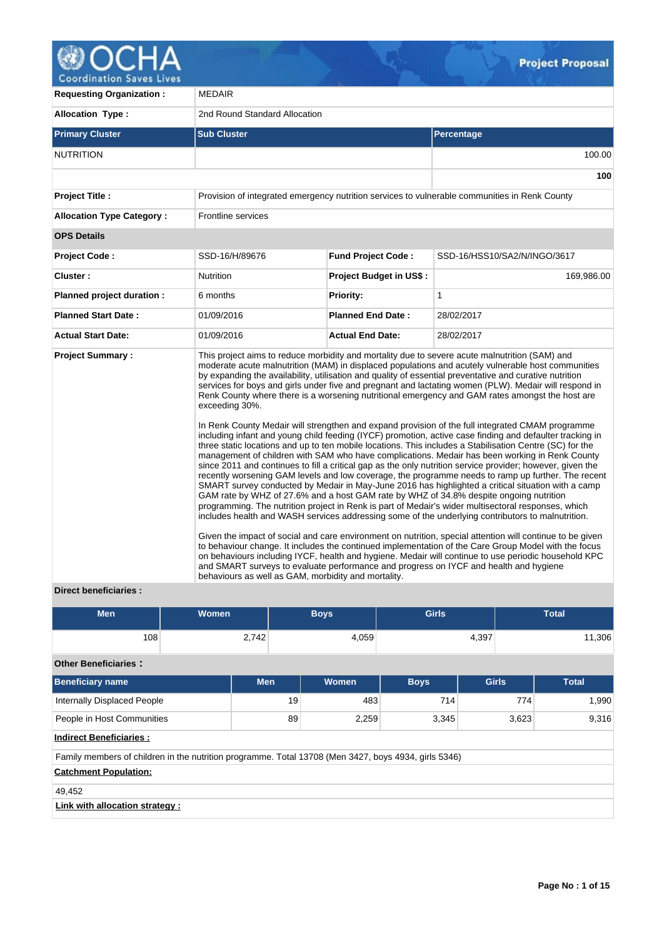

**Requesting Organization :** MEDAIR **Allocation Type :** 2nd Round Standard Allocation **Primary Cluster Sub Cluster Sub Cluster** Sub Cluster Sub Cluster Sub Cluster Sub Cluster Sub Cluster Sub Cluster NUTRITION 100.00 **100 Project Title :** Provision of integrated emergency nutrition services to vulnerable communities in Renk County **Allocation Type Category :** Frontline services **OPS Details Project Code :** SSD-16/H/89676 **Fund Project Code :** SSD-16/HSS10/SA2/N/INGO/3617 **Cluster :** 169,986.00 **Nutrition Project Budget in US\$ :** 169,986.00 **Planned project duration :** 6 months **Priority:** 1 **Planned Start Date :** 01/09/2016 **Planned End Date :** 28/02/2017 **Actual Start Date:** 01/09/2016 **Actual End Date:** 28/02/2017 **Project Summary :** This project aims to reduce morbidity and mortality due to severe acute malnutrition (SAM) and moderate acute malnutrition (MAM) in displaced populations and acutely vulnerable host communities by expanding the availability, utilisation and quality of essential preventative and curative nutrition services for boys and girls under five and pregnant and lactating women (PLW). Medair will respond in Renk County where there is a worsening nutritional emergency and GAM rates amongst the host are exceeding 30%. In Renk County Medair will strengthen and expand provision of the full integrated CMAM programme including infant and young child feeding (IYCF) promotion, active case finding and defaulter tracking in three static locations and up to ten mobile locations. This includes a Stabilisation Centre (SC) for the management of children with SAM who have complications. Medair has been working in Renk County since 2011 and continues to fill a critical gap as the only nutrition service provider; however, given the recently worsening GAM levels and low coverage, the programme needs to ramp up further. The recent SMART survey conducted by Medair in May-June 2016 has highlighted a critical situation with a camp GAM rate by WHZ of 27.6% and a host GAM rate by WHZ of 34.8% despite ongoing nutrition programming. The nutrition project in Renk is part of Medair's wider multisectoral responses, which includes health and WASH services addressing some of the underlying contributors to malnutrition. Given the impact of social and care environment on nutrition, special attention will continue to be given to behaviour change. It includes the continued implementation of the Care Group Model with the focus on behaviours including IYCF, health and hygiene. Medair will continue to use periodic household KPC and SMART surveys to evaluate performance and progress on IYCF and health and hygiene behaviours as well as GAM, morbidity and mortality.

## **Direct beneficiaries :**

| <b>Men</b>                                                                                           | Women |            | <b>Boys</b>  | <b>Girls</b> |              | <b>Total</b>   |  |  |  |
|------------------------------------------------------------------------------------------------------|-------|------------|--------------|--------------|--------------|----------------|--|--|--|
| 108                                                                                                  | 2,742 |            | 4,059        |              | 4,397        | 11,306         |  |  |  |
| <b>Other Beneficiaries:</b>                                                                          |       |            |              |              |              |                |  |  |  |
| <b>Beneficiary name</b>                                                                              |       | <b>Men</b> | <b>Women</b> | <b>Boys</b>  | <b>Girls</b> | <b>Total</b>   |  |  |  |
| <b>Internally Displaced People</b>                                                                   |       | 19         | 483          | 714          |              | 774<br>1,990   |  |  |  |
| People in Host Communities                                                                           |       | 89         | 2,259        | 3,345        |              | 9,316<br>3,623 |  |  |  |
| <b>Indirect Beneficiaries:</b>                                                                       |       |            |              |              |              |                |  |  |  |
| Family members of children in the nutrition programme. Total 13708 (Men 3427, boys 4934, girls 5346) |       |            |              |              |              |                |  |  |  |
| <b>Catchment Population:</b>                                                                         |       |            |              |              |              |                |  |  |  |
| 49,452                                                                                               |       |            |              |              |              |                |  |  |  |
| Link with allocation strategy :                                                                      |       |            |              |              |              |                |  |  |  |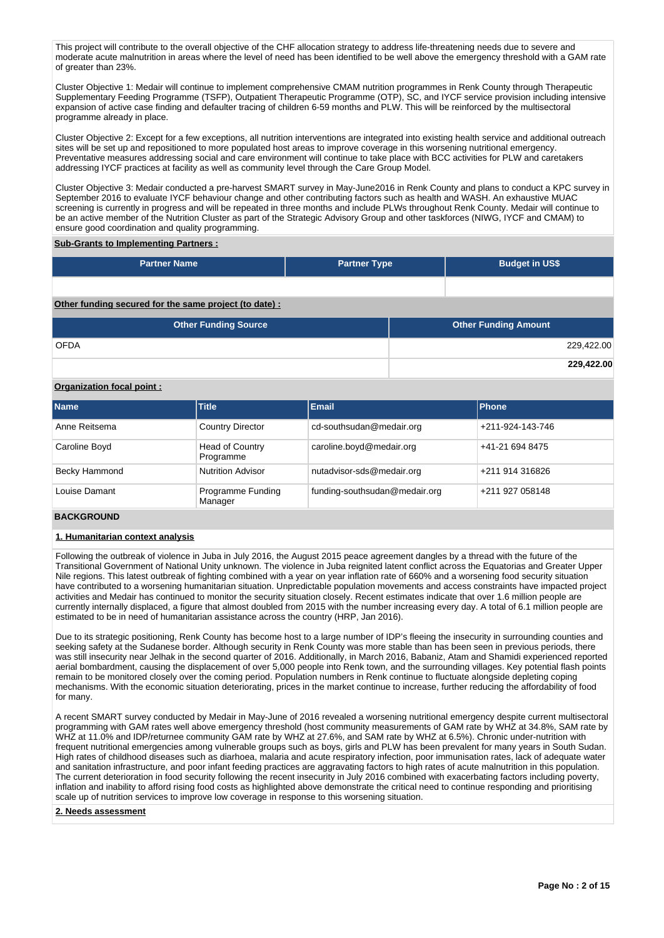This project will contribute to the overall objective of the CHF allocation strategy to address life-threatening needs due to severe and moderate acute malnutrition in areas where the level of need has been identified to be well above the emergency threshold with a GAM rate of greater than 23%.

Cluster Objective 1: Medair will continue to implement comprehensive CMAM nutrition programmes in Renk County through Therapeutic Supplementary Feeding Programme (TSFP), Outpatient Therapeutic Programme (OTP), SC, and IYCF service provision including intensive expansion of active case finding and defaulter tracing of children 6-59 months and PLW. This will be reinforced by the multisectoral programme already in place.

Cluster Objective 2: Except for a few exceptions, all nutrition interventions are integrated into existing health service and additional outreach sites will be set up and repositioned to more populated host areas to improve coverage in this worsening nutritional emergency. Preventative measures addressing social and care environment will continue to take place with BCC activities for PLW and caretakers addressing IYCF practices at facility as well as community level through the Care Group Model.

Cluster Objective 3: Medair conducted a pre-harvest SMART survey in May-June2016 in Renk County and plans to conduct a KPC survey in September 2016 to evaluate IYCF behaviour change and other contributing factors such as health and WASH. An exhaustive MUAC screening is currently in progress and will be repeated in three months and include PLWs throughout Renk County. Medair will continue to be an active member of the Nutrition Cluster as part of the Strategic Advisory Group and other taskforces (NIWG, IYCF and CMAM) to ensure good coordination and quality programming.

### **Sub-Grants to Implementing Partners :**

| <b>Partner Name</b>                                   | <b>Partner Type</b> | <b>Budget in US\$</b>       |
|-------------------------------------------------------|---------------------|-----------------------------|
|                                                       |                     |                             |
| Other funding secured for the same project (to date): |                     |                             |
| <b>Other Funding Source</b>                           |                     | <b>Other Funding Amount</b> |
| <b>OFDA</b>                                           |                     | 229,422.00                  |
|                                                       |                     | 229.422.00                  |

# **Organization focal point :**

| <b>Name</b>   | <b>Title</b>                        | <b>Email</b>                  | <b>Phone</b>     |
|---------------|-------------------------------------|-------------------------------|------------------|
| Anne Reitsema | <b>Country Director</b>             | cd-southsudan@medair.org      | +211-924-143-746 |
| Caroline Boyd | <b>Head of Country</b><br>Programme | caroline.boyd@medair.org      | +41-21 694 8475  |
| Becky Hammond | <b>Nutrition Advisor</b>            | nutadvisor-sds@medair.org     | +211 914 316826  |
| Louise Damant | <b>Programme Funding</b><br>Manager | funding-southsudan@medair.org | +211 927 058148  |

## **BACKGROUND**

# **1. Humanitarian context analysis**

Following the outbreak of violence in Juba in July 2016, the August 2015 peace agreement dangles by a thread with the future of the Transitional Government of National Unity unknown. The violence in Juba reignited latent conflict across the Equatorias and Greater Upper Nile regions. This latest outbreak of fighting combined with a year on year inflation rate of 660% and a worsening food security situation have contributed to a worsening humanitarian situation. Unpredictable population movements and access constraints have impacted project activities and Medair has continued to monitor the security situation closely. Recent estimates indicate that over 1.6 million people are currently internally displaced, a figure that almost doubled from 2015 with the number increasing every day. A total of 6.1 million people are estimated to be in need of humanitarian assistance across the country (HRP, Jan 2016).

Due to its strategic positioning, Renk County has become host to a large number of IDP's fleeing the insecurity in surrounding counties and seeking safety at the Sudanese border. Although security in Renk County was more stable than has been seen in previous periods, there was still insecurity near Jelhak in the second quarter of 2016. Additionally, in March 2016, Babaniz, Atam and Shamidi experienced reported aerial bombardment, causing the displacement of over 5,000 people into Renk town, and the surrounding villages. Key potential flash points remain to be monitored closely over the coming period. Population numbers in Renk continue to fluctuate alongside depleting coping mechanisms. With the economic situation deteriorating, prices in the market continue to increase, further reducing the affordability of food for many.

A recent SMART survey conducted by Medair in May-June of 2016 revealed a worsening nutritional emergency despite current multisectoral programming with GAM rates well above emergency threshold (host community measurements of GAM rate by WHZ at 34.8%, SAM rate by WHZ at 11.0% and IDP/returnee community GAM rate by WHZ at 27.6%, and SAM rate by WHZ at 6.5%). Chronic under-nutrition with frequent nutritional emergencies among vulnerable groups such as boys, girls and PLW has been prevalent for many years in South Sudan. High rates of childhood diseases such as diarhoea, malaria and acute respiratory infection, poor immunisation rates, lack of adequate water and sanitation infrastructure, and poor infant feeding practices are aggravating factors to high rates of acute malnutrition in this population. The current deterioration in food security following the recent insecurity in July 2016 combined with exacerbating factors including poverty, inflation and inability to afford rising food costs as highlighted above demonstrate the critical need to continue responding and prioritising scale up of nutrition services to improve low coverage in response to this worsening situation.

**2. Needs assessment**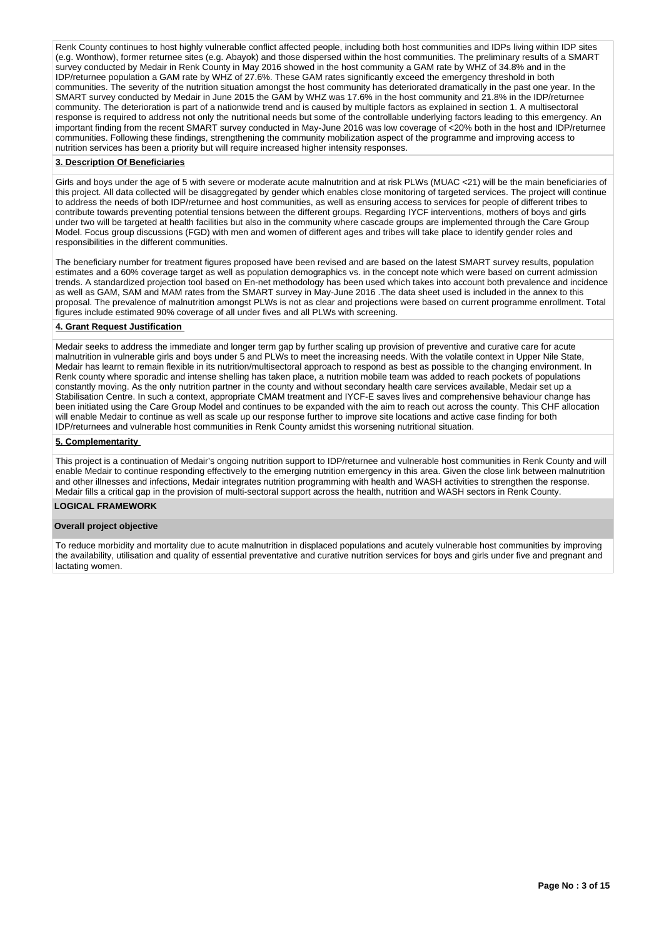Renk County continues to host highly vulnerable conflict affected people, including both host communities and IDPs living within IDP sites (e.g. Wonthow), former returnee sites (e.g. Abayok) and those dispersed within the host communities. The preliminary results of a SMART survey conducted by Medair in Renk County in May 2016 showed in the host community a GAM rate by WHZ of 34.8% and in the IDP/returnee population a GAM rate by WHZ of 27.6%. These GAM rates significantly exceed the emergency threshold in both communities. The severity of the nutrition situation amongst the host community has deteriorated dramatically in the past one year. In the SMART survey conducted by Medair in June 2015 the GAM by WHZ was 17.6% in the host community and 21.8% in the IDP/returnee community. The deterioration is part of a nationwide trend and is caused by multiple factors as explained in section 1. A multisectoral response is required to address not only the nutritional needs but some of the controllable underlying factors leading to this emergency. An important finding from the recent SMART survey conducted in May-June 2016 was low coverage of <20% both in the host and IDP/returnee communities. Following these findings, strengthening the community mobilization aspect of the programme and improving access to nutrition services has been a priority but will require increased higher intensity responses.

#### **3. Description Of Beneficiaries**

Girls and boys under the age of 5 with severe or moderate acute malnutrition and at risk PLWs (MUAC <21) will be the main beneficiaries of this project. All data collected will be disaggregated by gender which enables close monitoring of targeted services. The project will continue to address the needs of both IDP/returnee and host communities, as well as ensuring access to services for people of different tribes to contribute towards preventing potential tensions between the different groups. Regarding IYCF interventions, mothers of boys and girls under two will be targeted at health facilities but also in the community where cascade groups are implemented through the Care Group Model. Focus group discussions (FGD) with men and women of different ages and tribes will take place to identify gender roles and responsibilities in the different communities.

The beneficiary number for treatment figures proposed have been revised and are based on the latest SMART survey results, population estimates and a 60% coverage target as well as population demographics vs. in the concept note which were based on current admission trends. A standardized projection tool based on En-net methodology has been used which takes into account both prevalence and incidence as well as GAM, SAM and MAM rates from the SMART survey in May-June 2016 .The data sheet used is included in the annex to this proposal. The prevalence of malnutrition amongst PLWs is not as clear and projections were based on current programme enrollment. Total figures include estimated 90% coverage of all under fives and all PLWs with screening.

## **4. Grant Request Justification**

Medair seeks to address the immediate and longer term gap by further scaling up provision of preventive and curative care for acute malnutrition in vulnerable girls and boys under 5 and PLWs to meet the increasing needs. With the volatile context in Upper Nile State, Medair has learnt to remain flexible in its nutrition/multisectoral approach to respond as best as possible to the changing environment. In Renk county where sporadic and intense shelling has taken place, a nutrition mobile team was added to reach pockets of populations constantly moving. As the only nutrition partner in the county and without secondary health care services available, Medair set up a Stabilisation Centre. In such a context, appropriate CMAM treatment and IYCF-E saves lives and comprehensive behaviour change has been initiated using the Care Group Model and continues to be expanded with the aim to reach out across the county. This CHF allocation will enable Medair to continue as well as scale up our response further to improve site locations and active case finding for both IDP/returnees and vulnerable host communities in Renk County amidst this worsening nutritional situation.

#### **5. Complementarity**

This project is a continuation of Medair's ongoing nutrition support to IDP/returnee and vulnerable host communities in Renk County and will enable Medair to continue responding effectively to the emerging nutrition emergency in this area. Given the close link between malnutrition and other illnesses and infections, Medair integrates nutrition programming with health and WASH activities to strengthen the response. Medair fills a critical gap in the provision of multi-sectoral support across the health, nutrition and WASH sectors in Renk County.

#### **LOGICAL FRAMEWORK**

#### **Overall project objective**

To reduce morbidity and mortality due to acute malnutrition in displaced populations and acutely vulnerable host communities by improving the availability, utilisation and quality of essential preventative and curative nutrition services for boys and girls under five and pregnant and lactating women.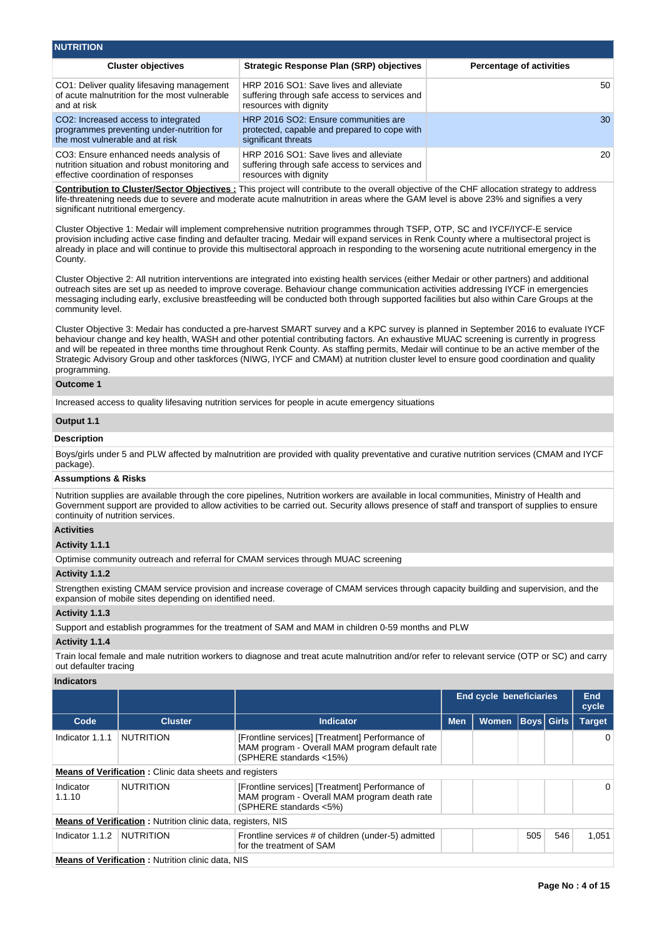| <b>NUTRITION</b>                                                                                                                 |                                                                                                                   |                                 |
|----------------------------------------------------------------------------------------------------------------------------------|-------------------------------------------------------------------------------------------------------------------|---------------------------------|
| <b>Cluster objectives</b>                                                                                                        | <b>Strategic Response Plan (SRP) objectives</b>                                                                   | <b>Percentage of activities</b> |
| CO1: Deliver quality lifesaving management<br>of acute malnutrition for the most vulnerable<br>and at risk                       | HRP 2016 SO1: Save lives and alleviate<br>suffering through safe access to services and<br>resources with dignity | 50 <sup>°</sup>                 |
| CO <sub>2</sub> : Increased access to integrated<br>programmes preventing under-nutrition for<br>the most vulnerable and at risk | HRP 2016 SO2: Ensure communities are<br>protected, capable and prepared to cope with<br>significant threats       | 30                              |
| CO3: Ensure enhanced needs analysis of<br>nutrition situation and robust monitoring and<br>effective coordination of responses   | HRP 2016 SO1: Save lives and alleviate<br>suffering through safe access to services and<br>resources with dignity | 20                              |

**Contribution to Cluster/Sector Objectives :** This project will contribute to the overall objective of the CHF allocation strategy to address life-threatening needs due to severe and moderate acute malnutrition in areas where the GAM level is above 23% and signifies a very significant nutritional emergency.

Cluster Objective 1: Medair will implement comprehensive nutrition programmes through TSFP, OTP, SC and IYCF/IYCF-E service provision including active case finding and defaulter tracing. Medair will expand services in Renk County where a multisectoral project is already in place and will continue to provide this multisectoral approach in responding to the worsening acute nutritional emergency in the County.

Cluster Objective 2: All nutrition interventions are integrated into existing health services (either Medair or other partners) and additional outreach sites are set up as needed to improve coverage. Behaviour change communication activities addressing IYCF in emergencies messaging including early, exclusive breastfeeding will be conducted both through supported facilities but also within Care Groups at the community level.

Cluster Objective 3: Medair has conducted a pre-harvest SMART survey and a KPC survey is planned in September 2016 to evaluate IYCF behaviour change and key health, WASH and other potential contributing factors. An exhaustive MUAC screening is currently in progress and will be repeated in three months time throughout Renk County. As staffing permits, Medair will continue to be an active member of the Strategic Advisory Group and other taskforces (NIWG, IYCF and CMAM) at nutrition cluster level to ensure good coordination and quality programming.

# **Outcome 1**

Increased access to quality lifesaving nutrition services for people in acute emergency situations

# **Output 1.1**

# **Description**

Boys/girls under 5 and PLW affected by malnutrition are provided with quality preventative and curative nutrition services (CMAM and IYCF package).

#### **Assumptions & Risks**

Nutrition supplies are available through the core pipelines, Nutrition workers are available in local communities, Ministry of Health and Government support are provided to allow activities to be carried out. Security allows presence of staff and transport of supplies to ensure continuity of nutrition services.

# **Activities**

# **Activity 1.1.1**

Optimise community outreach and referral for CMAM services through MUAC screening

#### **Activity 1.1.2**

Strengthen existing CMAM service provision and increase coverage of CMAM services through capacity building and supervision, and the expansion of mobile sites depending on identified need.

#### **Activity 1.1.3**

Support and establish programmes for the treatment of SAM and MAM in children 0-59 months and PLW

# **Activity 1.1.4**

Train local female and male nutrition workers to diagnose and treat acute malnutrition and/or refer to relevant service (OTP or SC) and carry out defaulter tracing

#### **Indicators**

|                                                                |                                                                     |                                                                                                                              |            | <b>End cycle beneficiaries</b> |              |  | End<br>cycle  |
|----------------------------------------------------------------|---------------------------------------------------------------------|------------------------------------------------------------------------------------------------------------------------------|------------|--------------------------------|--------------|--|---------------|
| Code                                                           | <b>Cluster</b>                                                      | Indicator                                                                                                                    | <b>Men</b> | <b>Women</b>                   | Boys   Girls |  | <b>Target</b> |
| Indicator 1.1.1                                                | <b>NUTRITION</b>                                                    | [Frontline services] [Treatment] Performance of<br>MAM program - Overall MAM program default rate<br>(SPHERE standards <15%) |            |                                |              |  | 0             |
| <b>Means of Verification:</b> Clinic data sheets and registers |                                                                     |                                                                                                                              |            |                                |              |  |               |
| Indicator<br>1.1.10                                            | <b>NUTRITION</b>                                                    | [Frontline services] [Treatment] Performance of<br>MAM program - Overall MAM program death rate<br>(SPHERE standards <5%)    |            |                                |              |  | 0             |
|                                                                | <b>Means of Verification:</b> Nutrition clinic data, registers, NIS |                                                                                                                              |            |                                |              |  |               |
| Indicator 1.1.2                                                | NUTRITION                                                           | 505<br>Frontline services # of children (under-5) admitted<br>for the treatment of SAM                                       |            |                                |              |  | 1,051         |
|                                                                | <b>Means of Verification:</b> Nutrition clinic data, NIS            |                                                                                                                              |            |                                |              |  |               |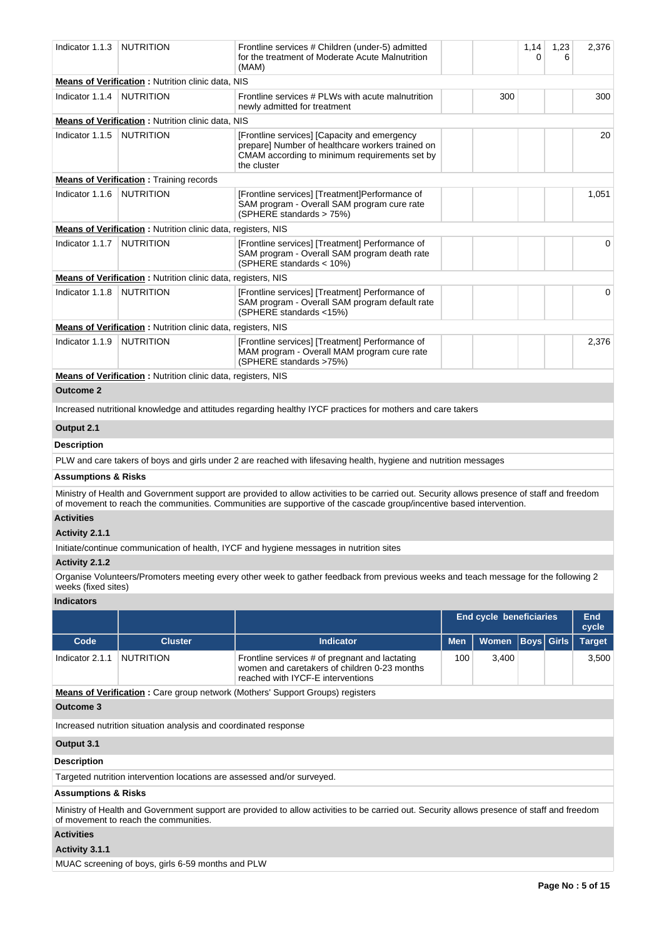| Indicator 1.1.3                     | <b>NUTRITION</b>                                                        | Frontline services # Children (under-5) admitted<br>for the treatment of Moderate Acute Malnutrition<br>(MAM)                                                    |            |                                | 1,14<br>0         | 1,23<br>6 | 2,376         |
|-------------------------------------|-------------------------------------------------------------------------|------------------------------------------------------------------------------------------------------------------------------------------------------------------|------------|--------------------------------|-------------------|-----------|---------------|
|                                     | Means of Verification : Nutrition clinic data, NIS                      |                                                                                                                                                                  |            |                                |                   |           |               |
| Indicator 1.1.4                     | <b>NUTRITION</b>                                                        | Frontline services # PLWs with acute malnutrition<br>newly admitted for treatment                                                                                |            | 300                            |                   |           | 300           |
|                                     | <b>Means of Verification:</b> Nutrition clinic data, NIS                |                                                                                                                                                                  |            |                                |                   |           |               |
| Indicator 1.1.5                     | <b>NUTRITION</b>                                                        | [Frontline services] [Capacity and emergency<br>prepare] Number of healthcare workers trained on<br>CMAM according to minimum requirements set by<br>the cluster |            |                                |                   |           | 20            |
|                                     | <b>Means of Verification:</b> Training records                          |                                                                                                                                                                  |            |                                |                   |           |               |
| Indicator 1.1.6                     | <b>NUTRITION</b>                                                        | [Frontline services] [Treatment]Performance of<br>SAM program - Overall SAM program cure rate<br>(SPHERE standards > 75%)                                        |            |                                |                   |           | 1,051         |
|                                     | Means of Verification: Nutrition clinic data, registers, NIS            |                                                                                                                                                                  |            |                                |                   |           |               |
| Indicator 1.1.7                     | <b>NUTRITION</b>                                                        | [Frontline services] [Treatment] Performance of<br>SAM program - Overall SAM program death rate<br>(SPHERE standards < 10%)                                      |            |                                |                   |           | 0             |
|                                     | <b>Means of Verification:</b> Nutrition clinic data, registers, NIS     |                                                                                                                                                                  |            |                                |                   |           |               |
| Indicator 1.1.8                     | <b>NUTRITION</b>                                                        | [Frontline services] [Treatment] Performance of<br>SAM program - Overall SAM program default rate<br>(SPHERE standards <15%)                                     |            |                                |                   |           | 0             |
|                                     | <b>Means of Verification:</b> Nutrition clinic data, registers, NIS     |                                                                                                                                                                  |            |                                |                   |           |               |
| Indicator 1.1.9                     | NUTRITION                                                               | [Frontline services] [Treatment] Performance of<br>MAM program - Overall MAM program cure rate<br>(SPHERE standards >75%)                                        |            |                                |                   |           | 2,376         |
|                                     | Means of Verification : Nutrition clinic data, registers, NIS           |                                                                                                                                                                  |            |                                |                   |           |               |
| <b>Outcome 2</b>                    |                                                                         |                                                                                                                                                                  |            |                                |                   |           |               |
|                                     |                                                                         | Increased nutritional knowledge and attitudes regarding healthy IYCF practices for mothers and care takers                                                       |            |                                |                   |           |               |
| Output 2.1                          |                                                                         |                                                                                                                                                                  |            |                                |                   |           |               |
|                                     |                                                                         |                                                                                                                                                                  |            |                                |                   |           |               |
| <b>Description</b>                  |                                                                         | PLW and care takers of boys and girls under 2 are reached with lifesaving health, hygiene and nutrition messages                                                 |            |                                |                   |           |               |
|                                     |                                                                         |                                                                                                                                                                  |            |                                |                   |           |               |
| <b>Assumptions &amp; Risks</b>      |                                                                         | Ministry of Health and Government support are provided to allow activities to be carried out. Security allows presence of staff and freedom                      |            |                                |                   |           |               |
| <b>Activities</b><br>Activity 2.1.1 |                                                                         | of movement to reach the communities. Communities are supportive of the cascade group/incentive based intervention.                                              |            |                                |                   |           |               |
|                                     |                                                                         | Initiate/continue communication of health, IYCF and hygiene messages in nutrition sites                                                                          |            |                                |                   |           |               |
| Activity 2.1.2                      |                                                                         |                                                                                                                                                                  |            |                                |                   |           |               |
| weeks (fixed sites)                 |                                                                         | Organise Volunteers/Promoters meeting every other week to gather feedback from previous weeks and teach message for the following 2                              |            |                                |                   |           |               |
| <b>Indicators</b>                   |                                                                         |                                                                                                                                                                  |            |                                |                   |           |               |
|                                     |                                                                         |                                                                                                                                                                  |            | <b>End cycle beneficiaries</b> |                   |           | End           |
|                                     |                                                                         |                                                                                                                                                                  |            |                                |                   |           | cycle         |
| Code                                | <b>Cluster</b>                                                          | <b>Indicator</b>                                                                                                                                                 | <b>Men</b> | <b>Women</b>                   | <b>Boys Girls</b> |           | <b>Target</b> |
| Indicator 2.1.1                     | <b>NUTRITION</b>                                                        | Frontline services # of pregnant and lactating<br>women and caretakers of children 0-23 months<br>reached with IYCF-E interventions                              | 100        | 3,400                          |                   |           | 3,500         |
|                                     |                                                                         | <b>Means of Verification:</b> Care group network (Mothers' Support Groups) registers                                                                             |            |                                |                   |           |               |
| <b>Outcome 3</b>                    |                                                                         |                                                                                                                                                                  |            |                                |                   |           |               |
|                                     | Increased nutrition situation analysis and coordinated response         |                                                                                                                                                                  |            |                                |                   |           |               |
| Output 3.1                          |                                                                         |                                                                                                                                                                  |            |                                |                   |           |               |
| <b>Description</b>                  |                                                                         |                                                                                                                                                                  |            |                                |                   |           |               |
|                                     | Targeted nutrition intervention locations are assessed and/or surveyed. |                                                                                                                                                                  |            |                                |                   |           |               |
| <b>Assumptions &amp; Risks</b>      |                                                                         |                                                                                                                                                                  |            |                                |                   |           |               |
|                                     | of movement to reach the communities.                                   | Ministry of Health and Government support are provided to allow activities to be carried out. Security allows presence of staff and freedom                      |            |                                |                   |           |               |
| <b>Activities</b>                   |                                                                         |                                                                                                                                                                  |            |                                |                   |           |               |
| Activity 3.1.1                      |                                                                         |                                                                                                                                                                  |            |                                |                   |           |               |

MUAC screening of boys, girls 6-59 months and PLW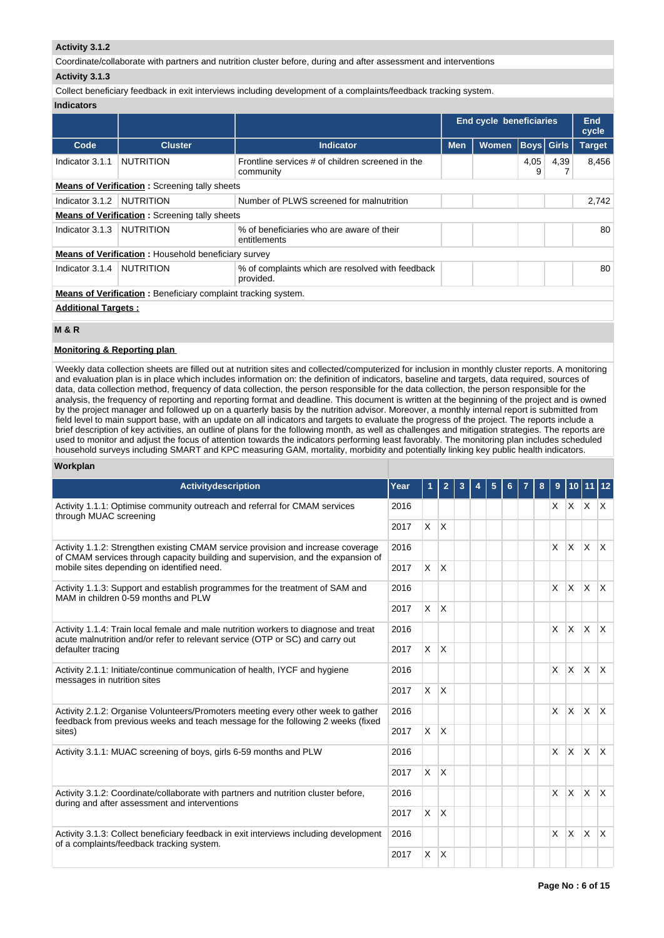## **Activity 3.1.2**

Coordinate/collaborate with partners and nutrition cluster before, during and after assessment and interventions

# **Activity 3.1.3**

Collect beneficiary feedback in exit interviews including development of a complaints/feedback tracking system.

# **Indicators**

|                            |                                                                      |                                                               | <b>End cycle beneficiaries</b> |              |                   |      | End<br>cycle  |
|----------------------------|----------------------------------------------------------------------|---------------------------------------------------------------|--------------------------------|--------------|-------------------|------|---------------|
| Code                       | <b>Cluster</b>                                                       | Indicator                                                     | <b>Men</b>                     | <b>Women</b> | <b>Boys</b> Girls |      | <b>Target</b> |
| Indicator 3.1.1            | <b>NUTRITION</b>                                                     | Frontline services # of children screened in the<br>community |                                |              | 4,05<br>9         | 4,39 | 8,456         |
|                            | <b>Means of Verification: Screening tally sheets</b>                 |                                                               |                                |              |                   |      |               |
| Indicator 3.1.2            | NUTRITION<br>Number of PLWS screened for malnutrition                |                                                               |                                |              |                   |      |               |
|                            | <b>Means of Verification:</b> Screening tally sheets                 |                                                               |                                |              |                   |      |               |
| Indicator 3.1.3            | NUTRITION                                                            | % of beneficiaries who are aware of their<br>entitlements     |                                |              |                   |      | 80            |
|                            | <b>Means of Verification:</b> Household beneficiary survey           |                                                               |                                |              |                   |      |               |
| Indicator 3.1.4            | <b>NUTRITION</b>                                                     | % of complaints which are resolved with feedback<br>provided. |                                |              |                   |      | 80            |
|                            | <b>Means of Verification:</b> Beneficiary complaint tracking system. |                                                               |                                |              |                   |      |               |
| <b>Additional Targets:</b> |                                                                      |                                                               |                                |              |                   |      |               |

# **M & R**

# **Monitoring & Reporting plan**

Weekly data collection sheets are filled out at nutrition sites and collected/computerized for inclusion in monthly cluster reports. A monitoring and evaluation plan is in place which includes information on: the definition of indicators, baseline and targets, data required, sources of data, data collection method, frequency of data collection, the person responsible for the data collection, the person responsible for the analysis, the frequency of reporting and reporting format and deadline. This document is written at the beginning of the project and is owned by the project manager and followed up on a quarterly basis by the nutrition advisor. Moreover, a monthly internal report is submitted from field level to main support base, with an update on all indicators and targets to evaluate the progress of the project. The reports include a brief description of key activities, an outline of plans for the following month, as well as challenges and mitigation strategies. The reports are used to monitor and adjust the focus of attention towards the indicators performing least favorably. The monitoring plan includes scheduled household surveys including SMART and KPC measuring GAM, mortality, morbidity and potentially linking key public health indicators.

# **Workplan**

| <b>Activitydescription</b>                                                                                                                                                                | Year | 1              | $\overline{2}$ | 3 | 5 | 6. | 8 | 9            | 10           |                 |                         |
|-------------------------------------------------------------------------------------------------------------------------------------------------------------------------------------------|------|----------------|----------------|---|---|----|---|--------------|--------------|-----------------|-------------------------|
| Activity 1.1.1: Optimise community outreach and referral for CMAM services<br>through MUAC screening                                                                                      | 2016 |                |                |   |   |    |   |              |              | $X$ $X$ $X$ $X$ |                         |
|                                                                                                                                                                                           | 2017 | $\mathsf{X}^-$ | ΙX.            |   |   |    |   |              |              |                 |                         |
| Activity 1.1.2: Strengthen existing CMAM service provision and increase coverage<br>of CMAM services through capacity building and supervision, and the expansion of                      |      |                |                |   |   |    |   | $\times$     | $\times$     | <b>X</b>        | $\mathsf{I} \mathsf{X}$ |
| mobile sites depending on identified need.                                                                                                                                                | 2017 | $\times$       | ΙX.            |   |   |    |   |              |              |                 |                         |
| Activity 1.1.3: Support and establish programmes for the treatment of SAM and<br>MAM in children 0-59 months and PLW                                                                      | 2016 |                |                |   |   |    |   | $\times$     | <b>X</b>     | ΙX.             | $\mathsf{X}$            |
|                                                                                                                                                                                           | 2017 | $\times$       | Ιx.            |   |   |    |   |              |              |                 |                         |
| Activity 1.1.4: Train local female and male nutrition workers to diagnose and treat<br>acute malnutrition and/or refer to relevant service (OTP or SC) and carry out<br>defaulter tracing | 2016 |                |                |   |   |    |   | $\mathsf{X}$ | <b>X</b>     | ΙX.             | $\mathsf{X}$            |
|                                                                                                                                                                                           | 2017 | $\times$       | <b>X</b>       |   |   |    |   |              |              |                 |                         |
| Activity 2.1.1: Initiate/continue communication of health, IYCF and hygiene<br>messages in nutrition sites                                                                                |      |                |                |   |   |    |   | $\times$     | $\mathsf{x}$ | <b>X</b>        | $\mathsf{X}$            |
|                                                                                                                                                                                           | 2017 | $\times$       | <sup>X</sup>   |   |   |    |   |              |              |                 |                         |
| Activity 2.1.2: Organise Volunteers/Promoters meeting every other week to gather<br>feedback from previous weeks and teach message for the following 2 weeks (fixed                       | 2016 |                |                |   |   |    |   | $\times$     | <b>X</b>     | $x \mid x$      |                         |
| sites)                                                                                                                                                                                    | 2017 | $\times$       | ΙX.            |   |   |    |   |              |              |                 |                         |
| Activity 3.1.1: MUAC screening of boys, girls 6-59 months and PLW                                                                                                                         | 2016 |                |                |   |   |    |   | $\mathsf{X}$ | $\times$     | $\mathsf{x}$    | $\mathsf{X}$            |
|                                                                                                                                                                                           | 2017 | $\times$       | ΙX.            |   |   |    |   |              |              |                 |                         |
| Activity 3.1.2: Coordinate/collaborate with partners and nutrition cluster before,<br>during and after assessment and interventions                                                       | 2016 |                |                |   |   |    |   | $\times$     | <b>X</b>     | ΙX.             | $\mathsf{X}$            |
|                                                                                                                                                                                           | 2017 | $\times$       | <sup>X</sup>   |   |   |    |   |              |              |                 |                         |
| Activity 3.1.3: Collect beneficiary feedback in exit interviews including development<br>of a complaints/feedback tracking system.                                                        | 2016 |                |                |   |   |    |   | X.           | $\times$     | <b>X</b>        | $\mathsf{X}$            |
|                                                                                                                                                                                           | 2017 | X              | $\overline{X}$ |   |   |    |   |              |              |                 |                         |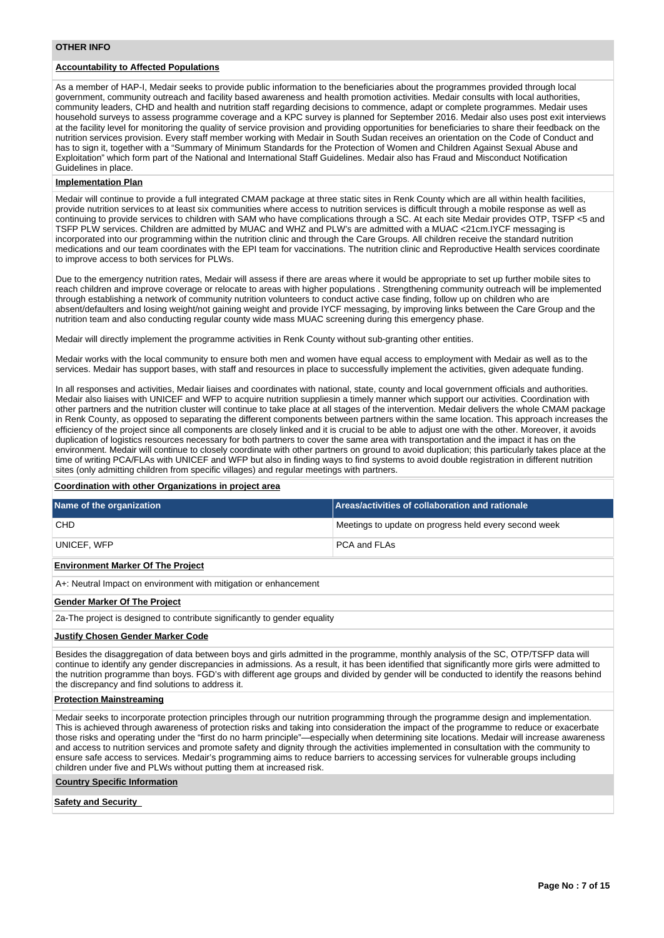#### **OTHER INFO**

# **Accountability to Affected Populations**

As a member of HAP-I, Medair seeks to provide public information to the beneficiaries about the programmes provided through local government, community outreach and facility based awareness and health promotion activities. Medair consults with local authorities, community leaders, CHD and health and nutrition staff regarding decisions to commence, adapt or complete programmes. Medair uses household surveys to assess programme coverage and a KPC survey is planned for September 2016. Medair also uses post exit interviews at the facility level for monitoring the quality of service provision and providing opportunities for beneficiaries to share their feedback on the nutrition services provision. Every staff member working with Medair in South Sudan receives an orientation on the Code of Conduct and has to sign it, together with a "Summary of Minimum Standards for the Protection of Women and Children Against Sexual Abuse and Exploitation" which form part of the National and International Staff Guidelines. Medair also has Fraud and Misconduct Notification Guidelines in place.

#### **Implementation Plan**

Medair will continue to provide a full integrated CMAM package at three static sites in Renk County which are all within health facilities, provide nutrition services to at least six communities where access to nutrition services is difficult through a mobile response as well as continuing to provide services to children with SAM who have complications through a SC. At each site Medair provides OTP, TSFP <5 and TSFP PLW services. Children are admitted by MUAC and WHZ and PLW's are admitted with a MUAC <21cm.IYCF messaging is incorporated into our programming within the nutrition clinic and through the Care Groups. All children receive the standard nutrition medications and our team coordinates with the EPI team for vaccinations. The nutrition clinic and Reproductive Health services coordinate to improve access to both services for PLWs.

Due to the emergency nutrition rates, Medair will assess if there are areas where it would be appropriate to set up further mobile sites to reach children and improve coverage or relocate to areas with higher populations . Strengthening community outreach will be implemented through establishing a network of community nutrition volunteers to conduct active case finding, follow up on children who are absent/defaulters and losing weight/not gaining weight and provide IYCF messaging, by improving links between the Care Group and the nutrition team and also conducting regular county wide mass MUAC screening during this emergency phase.

Medair will directly implement the programme activities in Renk County without sub-granting other entities.

Medair works with the local community to ensure both men and women have equal access to employment with Medair as well as to the services. Medair has support bases, with staff and resources in place to successfully implement the activities, given adequate funding.

In all responses and activities, Medair liaises and coordinates with national, state, county and local government officials and authorities. Medair also liaises with UNICEF and WFP to acquire nutrition suppliesin a timely manner which support our activities. Coordination with other partners and the nutrition cluster will continue to take place at all stages of the intervention. Medair delivers the whole CMAM package in Renk County, as opposed to separating the different components between partners within the same location. This approach increases the efficiency of the project since all components are closely linked and it is crucial to be able to adjust one with the other. Moreover, it avoids duplication of logistics resources necessary for both partners to cover the same area with transportation and the impact it has on the environment. Medair will continue to closely coordinate with other partners on ground to avoid duplication; this particularly takes place at the time of writing PCA/FLAs with UNICEF and WFP but also in finding ways to find systems to avoid double registration in different nutrition sites (only admitting children from specific villages) and regular meetings with partners.

# **Coordination with other Organizations in project area**

| Name of the organization                                                                                                                                                                                                                                                                                                                                                                                                                                                                 | Areas/activities of collaboration and rationale       |  |  |  |  |  |  |  |  |
|------------------------------------------------------------------------------------------------------------------------------------------------------------------------------------------------------------------------------------------------------------------------------------------------------------------------------------------------------------------------------------------------------------------------------------------------------------------------------------------|-------------------------------------------------------|--|--|--|--|--|--|--|--|
| <b>CHD</b>                                                                                                                                                                                                                                                                                                                                                                                                                                                                               | Meetings to update on progress held every second week |  |  |  |  |  |  |  |  |
| UNICEF, WFP                                                                                                                                                                                                                                                                                                                                                                                                                                                                              | PCA and FLAs                                          |  |  |  |  |  |  |  |  |
| <b>Environment Marker Of The Project</b>                                                                                                                                                                                                                                                                                                                                                                                                                                                 |                                                       |  |  |  |  |  |  |  |  |
| A+: Neutral Impact on environment with mitigation or enhancement                                                                                                                                                                                                                                                                                                                                                                                                                         |                                                       |  |  |  |  |  |  |  |  |
| <b>Gender Marker Of The Project</b>                                                                                                                                                                                                                                                                                                                                                                                                                                                      |                                                       |  |  |  |  |  |  |  |  |
| 2a-The project is designed to contribute significantly to gender equality                                                                                                                                                                                                                                                                                                                                                                                                                |                                                       |  |  |  |  |  |  |  |  |
| <b>Justify Chosen Gender Marker Code</b>                                                                                                                                                                                                                                                                                                                                                                                                                                                 |                                                       |  |  |  |  |  |  |  |  |
| Besides the disaggregation of data between boys and girls admitted in the programme, monthly analysis of the SC, OTP/TSFP data will<br>continue to identify any gender discrepancies in admissions. As a result, it has been identified that significantly more girls were admitted to<br>the nutrition programme than boys. FGD's with different age groups and divided by gender will be conducted to identify the reasons behind<br>the discrepancy and find solutions to address it. |                                                       |  |  |  |  |  |  |  |  |

#### **Protection Mainstreaming**

Medair seeks to incorporate protection principles through our nutrition programming through the programme design and implementation. This is achieved through awareness of protection risks and taking into consideration the impact of the programme to reduce or exacerbate those risks and operating under the "first do no harm principle"—especially when determining site locations. Medair will increase awareness and access to nutrition services and promote safety and dignity through the activities implemented in consultation with the community to ensure safe access to services. Medair's programming aims to reduce barriers to accessing services for vulnerable groups including children under five and PLWs without putting them at increased risk.

#### **Country Specific Information**

**Safety and Security**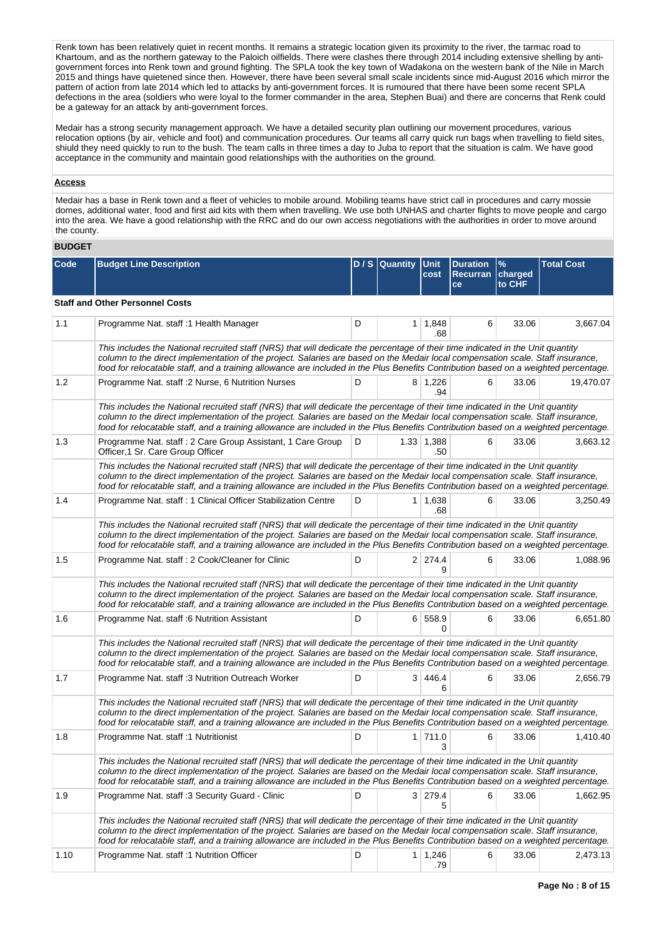Renk town has been relatively quiet in recent months. It remains a strategic location given its proximity to the river, the tarmac road to Khartoum, and as the northern gateway to the Paloich oilfields. There were clashes there through 2014 including extensive shelling by antigovernment forces into Renk town and ground fighting. The SPLA took the key town of Wadakona on the western bank of the Nile in March 2015 and things have quietened since then. However, there have been several small scale incidents since mid-August 2016 which mirror the pattern of action from late 2014 which led to attacks by anti-government forces. It is rumoured that there have been some recent SPLA defections in the area (soldiers who were loyal to the former commander in the area, Stephen Buai) and there are concerns that Renk could be a gateway for an attack by anti-government forces.

Medair has a strong security management approach. We have a detailed security plan outlining our movement procedures, various relocation options (by air, vehicle and foot) and communication procedures. Our teams all carry quick run bags when travelling to field sites, shiuld they need quickly to run to the bush. The team calls in three times a day to Juba to report that the situation is calm. We have good acceptance in the community and maintain good relationships with the authorities on the ground.

# **Access**

Medair has a base in Renk town and a fleet of vehicles to mobile around. Mobiling teams have strict call in procedures and carry mossie domes, additional water, food and first aid kits with them when travelling. We use both UNHAS and charter flights to move people and cargo into the area. We have a good relationship with the RRC and do our own access negotiations with the authorities in order to move around the county.

#### **BUDGET**

| Code | <b>Budget Line Description</b>                                                                                                                                                                                                                                                                                                                                                                            |   | D/S Quantity Unit | cost                  | <b>Duration</b><br><b>Recurran</b><br>ce | $\%$<br>charged<br>to CHF | <b>Total Cost</b> |
|------|-----------------------------------------------------------------------------------------------------------------------------------------------------------------------------------------------------------------------------------------------------------------------------------------------------------------------------------------------------------------------------------------------------------|---|-------------------|-----------------------|------------------------------------------|---------------------------|-------------------|
|      | <b>Staff and Other Personnel Costs</b>                                                                                                                                                                                                                                                                                                                                                                    |   |                   |                       |                                          |                           |                   |
| 1.1  | Programme Nat. staff :1 Health Manager                                                                                                                                                                                                                                                                                                                                                                    | D | 1                 | 1,848<br>.68          | 6                                        | 33.06                     | 3,667.04          |
|      | This includes the National recruited staff (NRS) that will dedicate the percentage of their time indicated in the Unit quantity<br>column to the direct implementation of the project. Salaries are based on the Medair local compensation scale. Staff insurance,<br>food for relocatable staff, and a training allowance are included in the Plus Benefits Contribution based on a weighted percentage. |   |                   |                       |                                          |                           |                   |
| 1.2  | Programme Nat. staff : 2 Nurse, 6 Nutrition Nurses                                                                                                                                                                                                                                                                                                                                                        | D |                   | $8 \mid 1,226$<br>.94 | 6                                        | 33.06                     | 19,470.07         |
|      | This includes the National recruited staff (NRS) that will dedicate the percentage of their time indicated in the Unit quantity<br>column to the direct implementation of the project. Salaries are based on the Medair local compensation scale. Staff insurance,<br>food for relocatable staff, and a training allowance are included in the Plus Benefits Contribution based on a weighted percentage. |   |                   |                       |                                          |                           |                   |
| 1.3  | Programme Nat. staff: 2 Care Group Assistant, 1 Care Group<br>Officer, 1 Sr. Care Group Officer                                                                                                                                                                                                                                                                                                           | D |                   | 1.33 1,388<br>.50     | 6                                        | 33.06                     | 3,663.12          |
|      | This includes the National recruited staff (NRS) that will dedicate the percentage of their time indicated in the Unit quantity<br>column to the direct implementation of the project. Salaries are based on the Medair local compensation scale. Staff insurance,<br>food for relocatable staff, and a training allowance are included in the Plus Benefits Contribution based on a weighted percentage. |   |                   |                       |                                          |                           |                   |
| 1.4  | Programme Nat. staff : 1 Clinical Officer Stabilization Centre                                                                                                                                                                                                                                                                                                                                            | D |                   | $1 \mid 1,638$<br>.68 | 6                                        | 33.06                     | 3,250.49          |
|      | This includes the National recruited staff (NRS) that will dedicate the percentage of their time indicated in the Unit quantity<br>column to the direct implementation of the project. Salaries are based on the Medair local compensation scale. Staff insurance,<br>food for relocatable staff, and a training allowance are included in the Plus Benefits Contribution based on a weighted percentage. |   |                   |                       |                                          |                           |                   |
| 1.5  | Programme Nat. staff: 2 Cook/Cleaner for Clinic                                                                                                                                                                                                                                                                                                                                                           | D |                   | $2 \mid 274.4$<br>g   | 6                                        | 33.06                     | 1,088.96          |
|      | This includes the National recruited staff (NRS) that will dedicate the percentage of their time indicated in the Unit quantity<br>column to the direct implementation of the project. Salaries are based on the Medair local compensation scale. Staff insurance,<br>food for relocatable staff, and a training allowance are included in the Plus Benefits Contribution based on a weighted percentage. |   |                   |                       |                                          |                           |                   |
| 1.6  | Programme Nat. staff :6 Nutrition Assistant                                                                                                                                                                                                                                                                                                                                                               | D |                   | 6 558.9<br>$\Omega$   | 6                                        | 33.06                     | 6,651.80          |
|      | This includes the National recruited staff (NRS) that will dedicate the percentage of their time indicated in the Unit quantity<br>column to the direct implementation of the project. Salaries are based on the Medair local compensation scale. Staff insurance,<br>food for relocatable staff, and a training allowance are included in the Plus Benefits Contribution based on a weighted percentage. |   |                   |                       |                                          |                           |                   |
| 1.7  | Programme Nat. staff :3 Nutrition Outreach Worker                                                                                                                                                                                                                                                                                                                                                         | D |                   | 3 446.4<br>6          | 6                                        | 33.06                     | 2,656.79          |
|      | This includes the National recruited staff (NRS) that will dedicate the percentage of their time indicated in the Unit quantity<br>column to the direct implementation of the project. Salaries are based on the Medair local compensation scale. Staff insurance,<br>food for relocatable staff, and a training allowance are included in the Plus Benefits Contribution based on a weighted percentage. |   |                   |                       |                                          |                           |                   |
| 1.8  | Programme Nat. staff :1 Nutritionist                                                                                                                                                                                                                                                                                                                                                                      | D |                   | $1$ 711.0<br>3        | 6                                        | 33.06                     | 1,410.40          |
|      | This includes the National recruited staff (NRS) that will dedicate the percentage of their time indicated in the Unit quantity<br>column to the direct implementation of the project. Salaries are based on the Medair local compensation scale. Staff insurance,<br>food for relocatable staff, and a training allowance are included in the Plus Benefits Contribution based on a weighted percentage. |   |                   |                       |                                          |                           |                   |
| 1.9  | Programme Nat. staff :3 Security Guard - Clinic                                                                                                                                                                                                                                                                                                                                                           | D |                   | 3 279.4<br>5          | 6                                        | 33.06                     | 1,662.95          |
|      | This includes the National recruited staff (NRS) that will dedicate the percentage of their time indicated in the Unit quantity<br>column to the direct implementation of the project. Salaries are based on the Medair local compensation scale. Staff insurance,<br>food for relocatable staff, and a training allowance are included in the Plus Benefits Contribution based on a weighted percentage. |   |                   |                       |                                          |                           |                   |
| 1.10 | Programme Nat. staff :1 Nutrition Officer                                                                                                                                                                                                                                                                                                                                                                 | D |                   | $1 \mid 1,246$<br>.79 | 6                                        | 33.06                     | 2,473.13          |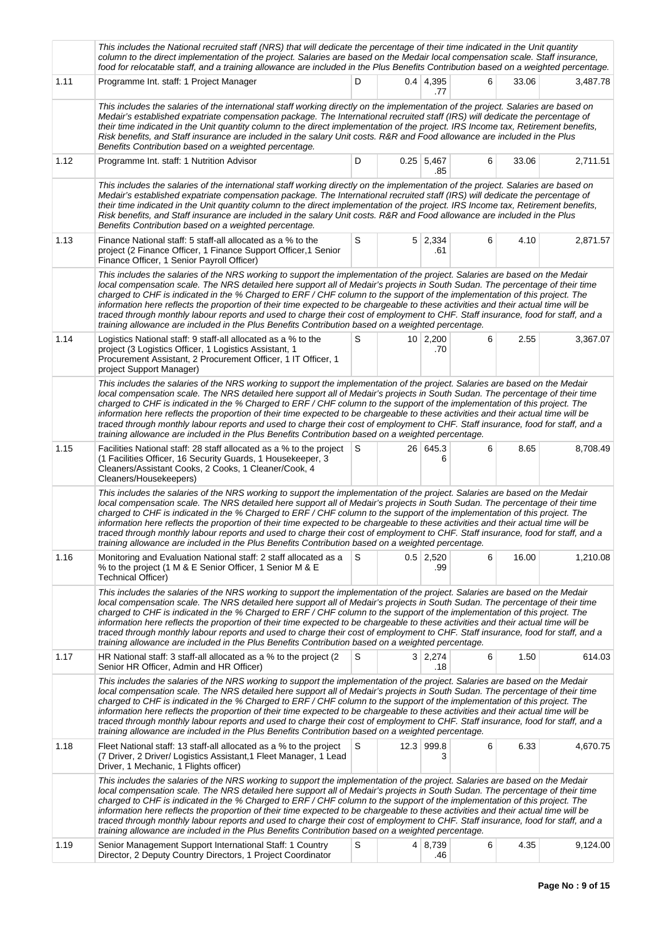|      | This includes the National recruited staff (NRS) that will dedicate the percentage of their time indicated in the Unit quantity<br>column to the direct implementation of the project. Salaries are based on the Medair local compensation scale. Staff insurance,<br>food for relocatable staff, and a training allowance are included in the Plus Benefits Contribution based on a weighted percentage.                                                                                                                                                                                                                                                                                                                                                                  |   |  |                         |   |       |          |  |  |  |
|------|----------------------------------------------------------------------------------------------------------------------------------------------------------------------------------------------------------------------------------------------------------------------------------------------------------------------------------------------------------------------------------------------------------------------------------------------------------------------------------------------------------------------------------------------------------------------------------------------------------------------------------------------------------------------------------------------------------------------------------------------------------------------------|---|--|-------------------------|---|-------|----------|--|--|--|
| 1.11 | Programme Int. staff: 1 Project Manager                                                                                                                                                                                                                                                                                                                                                                                                                                                                                                                                                                                                                                                                                                                                    | D |  | $0.4 \mid 4,395$<br>.77 | 6 | 33.06 | 3,487.78 |  |  |  |
|      | This includes the salaries of the international staff working directly on the implementation of the project. Salaries are based on<br>Medair's established expatriate compensation package. The International recruited staff (IRS) will dedicate the percentage of<br>their time indicated in the Unit quantity column to the direct implementation of the project. IRS Income tax, Retirement benefits,<br>Risk benefits, and Staff insurance are included in the salary Unit costs. R&R and Food allowance are included in the Plus<br>Benefits Contribution based on a weighted percentage.                                                                                                                                                                            |   |  |                         |   |       |          |  |  |  |
| 1.12 | Programme Int. staff: 1 Nutrition Advisor                                                                                                                                                                                                                                                                                                                                                                                                                                                                                                                                                                                                                                                                                                                                  | D |  | $0.25$ 5,467<br>.85     | 6 | 33.06 | 2,711.51 |  |  |  |
|      | This includes the salaries of the international staff working directly on the implementation of the project. Salaries are based on<br>Medair's established expatriate compensation package. The International recruited staff (IRS) will dedicate the percentage of<br>their time indicated in the Unit quantity column to the direct implementation of the project. IRS Income tax, Retirement benefits,<br>Risk benefits, and Staff insurance are included in the salary Unit costs. R&R and Food allowance are included in the Plus<br>Benefits Contribution based on a weighted percentage.                                                                                                                                                                            |   |  |                         |   |       |          |  |  |  |
| 1.13 | Finance National staff: 5 staff-all allocated as a % to the<br>project (2 Finance Officer, 1 Finance Support Officer, 1 Senior<br>Finance Officer, 1 Senior Payroll Officer)                                                                                                                                                                                                                                                                                                                                                                                                                                                                                                                                                                                               | S |  | $5 \mid 2,334$<br>.61   | 6 | 4.10  | 2,871.57 |  |  |  |
|      | This includes the salaries of the NRS working to support the implementation of the project. Salaries are based on the Medair<br>local compensation scale. The NRS detailed here support all of Medair's projects in South Sudan. The percentage of their time<br>charged to CHF is indicated in the % Charged to ERF / CHF column to the support of the implementation of this project. The<br>information here reflects the proportion of their time expected to be chargeable to these activities and their actual time will be<br>traced through monthly labour reports and used to charge their cost of employment to CHF. Staff insurance, food for staff, and a<br>training allowance are included in the Plus Benefits Contribution based on a weighted percentage. |   |  |                         |   |       |          |  |  |  |
| 1.14 | Logistics National staff: 9 staff-all allocated as a % to the<br>project (3 Logistics Officer, 1 Logistics Assistant, 1<br>Procurement Assistant, 2 Procurement Officer, 1 IT Officer, 1<br>project Support Manager)                                                                                                                                                                                                                                                                                                                                                                                                                                                                                                                                                       | S |  | $10 \mid 2,200$<br>.70  | 6 | 2.55  | 3,367.07 |  |  |  |
|      | This includes the salaries of the NRS working to support the implementation of the project. Salaries are based on the Medair<br>local compensation scale. The NRS detailed here support all of Medair's projects in South Sudan. The percentage of their time<br>charged to CHF is indicated in the % Charged to ERF / CHF column to the support of the implementation of this project. The<br>information here reflects the proportion of their time expected to be chargeable to these activities and their actual time will be<br>traced through monthly labour reports and used to charge their cost of employment to CHF. Staff insurance, food for staff, and a<br>training allowance are included in the Plus Benefits Contribution based on a weighted percentage. |   |  |                         |   |       |          |  |  |  |
| 1.15 | Facilities National staff: 28 staff allocated as a % to the project<br>(1 Facilities Officer, 16 Security Guards, 1 Housekeeper, 3<br>Cleaners/Assistant Cooks, 2 Cooks, 1 Cleaner/Cook, 4<br>Cleaners/Housekeepers)                                                                                                                                                                                                                                                                                                                                                                                                                                                                                                                                                       | S |  | 26 645.3<br>6           | 6 | 8.65  | 8,708.49 |  |  |  |
|      | This includes the salaries of the NRS working to support the implementation of the project. Salaries are based on the Medair<br>local compensation scale. The NRS detailed here support all of Medair's projects in South Sudan. The percentage of their time<br>charged to CHF is indicated in the % Charged to ERF / CHF column to the support of the implementation of this project. The<br>information here reflects the proportion of their time expected to be chargeable to these activities and their actual time will be<br>traced through monthly labour reports and used to charge their cost of employment to CHF. Staff insurance, food for staff, and a<br>training allowance are included in the Plus Benefits Contribution based on a weighted percentage. |   |  |                         |   |       |          |  |  |  |
| 1.16 | Monitoring and Evaluation National staff: 2 staff allocated as a<br>% to the project (1 M & E Senior Officer, 1 Senior M & E<br>Technical Officer)                                                                                                                                                                                                                                                                                                                                                                                                                                                                                                                                                                                                                         | S |  | $0.5$ 2,520<br>.99      | 6 | 16.00 | 1,210.08 |  |  |  |
|      | This includes the salaries of the NRS working to support the implementation of the project. Salaries are based on the Medair<br>local compensation scale. The NRS detailed here support all of Medair's projects in South Sudan. The percentage of their time<br>charged to CHF is indicated in the % Charged to ERF/CHF column to the support of the implementation of this project. The<br>information here reflects the proportion of their time expected to be chargeable to these activities and their actual time will be<br>traced through monthly labour reports and used to charge their cost of employment to CHF. Staff insurance, food for staff, and a<br>training allowance are included in the Plus Benefits Contribution based on a weighted percentage.   |   |  |                         |   |       |          |  |  |  |
| 1.17 | HR National staff: 3 staff-all allocated as a % to the project (2)<br>Senior HR Officer, Admin and HR Officer)                                                                                                                                                                                                                                                                                                                                                                                                                                                                                                                                                                                                                                                             | S |  | 3 2,274<br>.18          | 6 | 1.50  | 614.03   |  |  |  |
|      | This includes the salaries of the NRS working to support the implementation of the project. Salaries are based on the Medair<br>local compensation scale. The NRS detailed here support all of Medair's projects in South Sudan. The percentage of their time<br>charged to CHF is indicated in the % Charged to ERF / CHF column to the support of the implementation of this project. The<br>information here reflects the proportion of their time expected to be chargeable to these activities and their actual time will be<br>traced through monthly labour reports and used to charge their cost of employment to CHF. Staff insurance, food for staff, and a<br>training allowance are included in the Plus Benefits Contribution based on a weighted percentage. |   |  |                         |   |       |          |  |  |  |
| 1.18 | Fleet National staff: 13 staff-all allocated as a % to the project<br>(7 Driver, 2 Driver/ Logistics Assistant, 1 Fleet Manager, 1 Lead<br>Driver, 1 Mechanic, 1 Flights officer)                                                                                                                                                                                                                                                                                                                                                                                                                                                                                                                                                                                          | S |  | 12.3 999.8<br>3         | 6 | 6.33  | 4,670.75 |  |  |  |
|      | This includes the salaries of the NRS working to support the implementation of the project. Salaries are based on the Medair<br>local compensation scale. The NRS detailed here support all of Medair's projects in South Sudan. The percentage of their time<br>charged to CHF is indicated in the % Charged to ERF / CHF column to the support of the implementation of this project. The<br>information here reflects the proportion of their time expected to be chargeable to these activities and their actual time will be<br>traced through monthly labour reports and used to charge their cost of employment to CHF. Staff insurance, food for staff, and a<br>training allowance are included in the Plus Benefits Contribution based on a weighted percentage. |   |  |                         |   |       |          |  |  |  |
| 1.19 | Senior Management Support International Staff: 1 Country<br>Director, 2 Deputy Country Directors, 1 Project Coordinator                                                                                                                                                                                                                                                                                                                                                                                                                                                                                                                                                                                                                                                    | S |  | 4 8,739<br>.46          | 6 | 4.35  | 9,124.00 |  |  |  |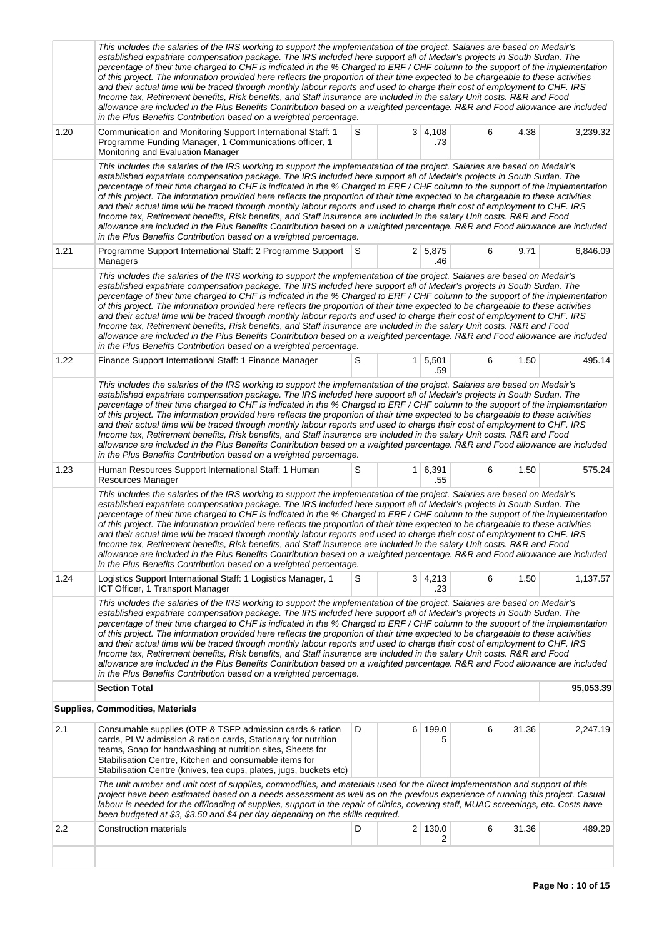|                                                                                                                                                                                                                                                                                                                                                                                                                                                                                                                                                                                                                                                                                                                                                                                                                                                                                                                                                                                            | This includes the salaries of the IRS working to support the implementation of the project. Salaries are based on Medair's<br>established expatriate compensation package. The IRS included here support all of Medair's projects in South Sudan. The<br>percentage of their time charged to CHF is indicated in the % Charged to ERF/CHF column to the support of the implementation<br>of this project. The information provided here reflects the proportion of their time expected to be chargeable to these activities<br>and their actual time will be traced through monthly labour reports and used to charge their cost of employment to CHF. IRS<br>Income tax, Retirement benefits, Risk benefits, and Staff insurance are included in the salary Unit costs. R&R and Food<br>allowance are included in the Plus Benefits Contribution based on a weighted percentage. R&R and Food allowance are included<br>in the Plus Benefits Contribution based on a weighted percentage.                                                         |   |  |                       |   |       |           |  |  |
|--------------------------------------------------------------------------------------------------------------------------------------------------------------------------------------------------------------------------------------------------------------------------------------------------------------------------------------------------------------------------------------------------------------------------------------------------------------------------------------------------------------------------------------------------------------------------------------------------------------------------------------------------------------------------------------------------------------------------------------------------------------------------------------------------------------------------------------------------------------------------------------------------------------------------------------------------------------------------------------------|----------------------------------------------------------------------------------------------------------------------------------------------------------------------------------------------------------------------------------------------------------------------------------------------------------------------------------------------------------------------------------------------------------------------------------------------------------------------------------------------------------------------------------------------------------------------------------------------------------------------------------------------------------------------------------------------------------------------------------------------------------------------------------------------------------------------------------------------------------------------------------------------------------------------------------------------------------------------------------------------------------------------------------------------------|---|--|-----------------------|---|-------|-----------|--|--|
| 1.20                                                                                                                                                                                                                                                                                                                                                                                                                                                                                                                                                                                                                                                                                                                                                                                                                                                                                                                                                                                       | Communication and Monitoring Support International Staff: 1<br>Programme Funding Manager, 1 Communications officer, 1<br>Monitoring and Evaluation Manager                                                                                                                                                                                                                                                                                                                                                                                                                                                                                                                                                                                                                                                                                                                                                                                                                                                                                         | S |  | $3 \mid 4,108$<br>.73 | 6 | 4.38  | 3,239.32  |  |  |
| This includes the salaries of the IRS working to support the implementation of the project. Salaries are based on Medair's<br>established expatriate compensation package. The IRS included here support all of Medair's projects in South Sudan. The<br>percentage of their time charged to CHF is indicated in the % Charged to ERF/CHF column to the support of the implementation<br>of this project. The information provided here reflects the proportion of their time expected to be chargeable to these activities<br>and their actual time will be traced through monthly labour reports and used to charge their cost of employment to CHF. IRS<br>Income tax, Retirement benefits, Risk benefits, and Staff insurance are included in the salary Unit costs. R&R and Food<br>allowance are included in the Plus Benefits Contribution based on a weighted percentage. R&R and Food allowance are included<br>in the Plus Benefits Contribution based on a weighted percentage. |                                                                                                                                                                                                                                                                                                                                                                                                                                                                                                                                                                                                                                                                                                                                                                                                                                                                                                                                                                                                                                                    |   |  |                       |   |       |           |  |  |
| 1.21                                                                                                                                                                                                                                                                                                                                                                                                                                                                                                                                                                                                                                                                                                                                                                                                                                                                                                                                                                                       | Programme Support International Staff: 2 Programme Support S<br>Managers                                                                                                                                                                                                                                                                                                                                                                                                                                                                                                                                                                                                                                                                                                                                                                                                                                                                                                                                                                           |   |  | 2 5,875<br>.46        | 6 | 9.71  | 6,846.09  |  |  |
|                                                                                                                                                                                                                                                                                                                                                                                                                                                                                                                                                                                                                                                                                                                                                                                                                                                                                                                                                                                            | This includes the salaries of the IRS working to support the implementation of the project. Salaries are based on Medair's<br>established expatriate compensation package. The IRS included here support all of Medair's projects in South Sudan. The<br>percentage of their time charged to CHF is indicated in the % Charged to ERF/CHF column to the support of the implementation<br>of this project. The information provided here reflects the proportion of their time expected to be chargeable to these activities<br>and their actual time will be traced through monthly labour reports and used to charge their cost of employment to CHF. IRS<br>Income tax, Retirement benefits, Risk benefits, and Staff insurance are included in the salary Unit costs. R&R and Food<br>allowance are included in the Plus Benefits Contribution based on a weighted percentage. R&R and Food allowance are included<br>in the Plus Benefits Contribution based on a weighted percentage.                                                         |   |  |                       |   |       |           |  |  |
| 1.22                                                                                                                                                                                                                                                                                                                                                                                                                                                                                                                                                                                                                                                                                                                                                                                                                                                                                                                                                                                       | Finance Support International Staff: 1 Finance Manager                                                                                                                                                                                                                                                                                                                                                                                                                                                                                                                                                                                                                                                                                                                                                                                                                                                                                                                                                                                             | S |  | $1 \mid 5,501$<br>.59 | 6 | 1.50  | 495.14    |  |  |
| 1.23                                                                                                                                                                                                                                                                                                                                                                                                                                                                                                                                                                                                                                                                                                                                                                                                                                                                                                                                                                                       | This includes the salaries of the IRS working to support the implementation of the project. Salaries are based on Medair's<br>established expatriate compensation package. The IRS included here support all of Medair's projects in South Sudan. The<br>percentage of their time charged to CHF is indicated in the % Charged to ERF/CHF column to the support of the implementation<br>of this project. The information provided here reflects the proportion of their time expected to be chargeable to these activities<br>and their actual time will be traced through monthly labour reports and used to charge their cost of employment to CHF. IRS<br>Income tax, Retirement benefits, Risk benefits, and Staff insurance are included in the salary Unit costs. R&R and Food<br>allowance are included in the Plus Benefits Contribution based on a weighted percentage. R&R and Food allowance are included<br>in the Plus Benefits Contribution based on a weighted percentage.<br>Human Resources Support International Staff: 1 Human | S |  | 1 6,391               | 6 | 1.50  | 575.24    |  |  |
|                                                                                                                                                                                                                                                                                                                                                                                                                                                                                                                                                                                                                                                                                                                                                                                                                                                                                                                                                                                            | Resources Manager<br>This includes the salaries of the IRS working to support the implementation of the project. Salaries are based on Medair's<br>established expatriate compensation package. The IRS included here support all of Medair's projects in South Sudan. The<br>percentage of their time charged to CHF is indicated in the % Charged to ERF/CHF column to the support of the implementation<br>of this project. The information provided here reflects the proportion of their time expected to be chargeable to these activities<br>and their actual time will be traced through monthly labour reports and used to charge their cost of employment to CHF. IRS<br>Income tax, Retirement benefits, Risk benefits, and Staff insurance are included in the salary Unit costs. R&R and Food<br>allowance are included in the Plus Benefits Contribution based on a weighted percentage. R&R and Food allowance are included<br>in the Plus Benefits Contribution based on a weighted percentage.                                    |   |  | .55                   |   |       |           |  |  |
| 1.24                                                                                                                                                                                                                                                                                                                                                                                                                                                                                                                                                                                                                                                                                                                                                                                                                                                                                                                                                                                       | Logistics Support International Staff: 1 Logistics Manager, 1<br>ICT Officer, 1 Transport Manager                                                                                                                                                                                                                                                                                                                                                                                                                                                                                                                                                                                                                                                                                                                                                                                                                                                                                                                                                  | S |  | $3 \mid 4,213$<br>.23 | 6 | 1.50  | 1,137.57  |  |  |
|                                                                                                                                                                                                                                                                                                                                                                                                                                                                                                                                                                                                                                                                                                                                                                                                                                                                                                                                                                                            | This includes the salaries of the IRS working to support the implementation of the project. Salaries are based on Medair's<br>established expatriate compensation package. The IRS included here support all of Medair's projects in South Sudan. The<br>percentage of their time charged to CHF is indicated in the % Charged to ERF/CHF column to the support of the implementation<br>of this project. The information provided here reflects the proportion of their time expected to be chargeable to these activities<br>and their actual time will be traced through monthly labour reports and used to charge their cost of employment to CHF. IRS<br>Income tax, Retirement benefits, Risk benefits, and Staff insurance are included in the salary Unit costs. R&R and Food<br>allowance are included in the Plus Benefits Contribution based on a weighted percentage. R&R and Food allowance are included<br>in the Plus Benefits Contribution based on a weighted percentage.                                                         |   |  |                       |   |       |           |  |  |
|                                                                                                                                                                                                                                                                                                                                                                                                                                                                                                                                                                                                                                                                                                                                                                                                                                                                                                                                                                                            | <b>Section Total</b>                                                                                                                                                                                                                                                                                                                                                                                                                                                                                                                                                                                                                                                                                                                                                                                                                                                                                                                                                                                                                               |   |  |                       |   |       | 95,053.39 |  |  |
|                                                                                                                                                                                                                                                                                                                                                                                                                                                                                                                                                                                                                                                                                                                                                                                                                                                                                                                                                                                            | <b>Supplies, Commodities, Materials</b>                                                                                                                                                                                                                                                                                                                                                                                                                                                                                                                                                                                                                                                                                                                                                                                                                                                                                                                                                                                                            |   |  |                       |   |       |           |  |  |
| 2.1                                                                                                                                                                                                                                                                                                                                                                                                                                                                                                                                                                                                                                                                                                                                                                                                                                                                                                                                                                                        | Consumable supplies (OTP & TSFP admission cards & ration<br>cards, PLW admission & ration cards, Stationary for nutrition<br>teams, Soap for handwashing at nutrition sites, Sheets for<br>Stabilisation Centre, Kitchen and consumable items for<br>Stabilisation Centre (knives, tea cups, plates, jugs, buckets etc)                                                                                                                                                                                                                                                                                                                                                                                                                                                                                                                                                                                                                                                                                                                            | D |  | 6 199.0               | 6 | 31.36 | 2,247.19  |  |  |
|                                                                                                                                                                                                                                                                                                                                                                                                                                                                                                                                                                                                                                                                                                                                                                                                                                                                                                                                                                                            | The unit number and unit cost of supplies, commodities, and materials used for the direct implementation and support of this<br>project have been estimated based on a needs assessment as well as on the previous experience of running this project. Casual<br>labour is needed for the off/loading of supplies, support in the repair of clinics, covering staff, MUAC screenings, etc. Costs have<br>been budgeted at \$3, \$3.50 and \$4 per day depending on the skills required.                                                                                                                                                                                                                                                                                                                                                                                                                                                                                                                                                            |   |  |                       |   |       |           |  |  |
| $2.2\phantom{0}$                                                                                                                                                                                                                                                                                                                                                                                                                                                                                                                                                                                                                                                                                                                                                                                                                                                                                                                                                                           | <b>Construction materials</b>                                                                                                                                                                                                                                                                                                                                                                                                                                                                                                                                                                                                                                                                                                                                                                                                                                                                                                                                                                                                                      | D |  | 2 130.0<br>2          | 6 | 31.36 | 489.29    |  |  |
|                                                                                                                                                                                                                                                                                                                                                                                                                                                                                                                                                                                                                                                                                                                                                                                                                                                                                                                                                                                            |                                                                                                                                                                                                                                                                                                                                                                                                                                                                                                                                                                                                                                                                                                                                                                                                                                                                                                                                                                                                                                                    |   |  |                       |   |       |           |  |  |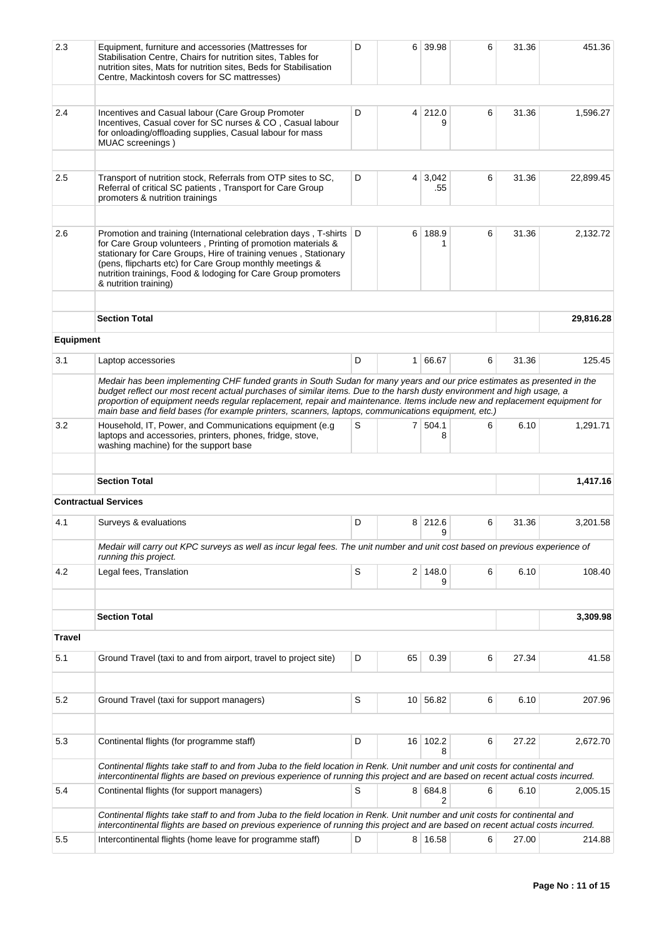| 2.3              | Equipment, furniture and accessories (Mattresses for<br>Stabilisation Centre, Chairs for nutrition sites, Tables for<br>nutrition sites, Mats for nutrition sites, Beds for Stabilisation<br>Centre, Mackintosh covers for SC mattresses)                                                                                                                                                                                                      | D   |                | 6 39.98       | 6 | 31.36 | 451.36    |  |
|------------------|------------------------------------------------------------------------------------------------------------------------------------------------------------------------------------------------------------------------------------------------------------------------------------------------------------------------------------------------------------------------------------------------------------------------------------------------|-----|----------------|---------------|---|-------|-----------|--|
| 2.4              | Incentives and Casual labour (Care Group Promoter<br>Incentives, Casual cover for SC nurses & CO, Casual labour<br>for onloading/offloading supplies, Casual labour for mass<br>MUAC screenings)                                                                                                                                                                                                                                               | D   | $\overline{4}$ | 212.0         | 6 | 31.36 | 1,596.27  |  |
|                  |                                                                                                                                                                                                                                                                                                                                                                                                                                                |     |                |               |   |       |           |  |
| 2.5              | Transport of nutrition stock, Referrals from OTP sites to SC,<br>Referral of critical SC patients, Transport for Care Group<br>promoters & nutrition trainings                                                                                                                                                                                                                                                                                 | D   | $\overline{4}$ | 3,042<br>.55  | 6 | 31.36 | 22,899.45 |  |
| 2.6              | Promotion and training (International celebration days, T-shirts<br>for Care Group volunteers, Printing of promotion materials &<br>stationary for Care Groups, Hire of training venues, Stationary<br>(pens, flipcharts etc) for Care Group monthly meetings &<br>nutrition trainings, Food & lodoging for Care Group promoters<br>& nutrition training)                                                                                      | I D | 6              | 188.9         | 6 | 31.36 | 2,132.72  |  |
|                  | <b>Section Total</b>                                                                                                                                                                                                                                                                                                                                                                                                                           |     |                |               |   |       | 29,816.28 |  |
| <b>Equipment</b> |                                                                                                                                                                                                                                                                                                                                                                                                                                                |     |                |               |   |       |           |  |
|                  |                                                                                                                                                                                                                                                                                                                                                                                                                                                |     |                |               |   |       |           |  |
| 3.1              | D<br>1 66.67<br>6<br>31.36<br>125.45<br>Laptop accessories<br>Medair has been implementing CHF funded grants in South Sudan for many years and our price estimates as presented in the<br>budget reflect our most recent actual purchases of similar items. Due to the harsh dusty environment and high usage, a<br>proportion of equipment needs regular replacement, repair and maintenance. Items include new and replacement equipment for |     |                |               |   |       |           |  |
|                  |                                                                                                                                                                                                                                                                                                                                                                                                                                                |     |                |               |   |       |           |  |
|                  | main base and field bases (for example printers, scanners, laptops, communications equipment, etc.)                                                                                                                                                                                                                                                                                                                                            |     |                |               |   |       |           |  |
| 3.2              | Household, IT, Power, and Communications equipment (e.g.<br>laptops and accessories, printers, phones, fridge, stove,<br>washing machine) for the support base                                                                                                                                                                                                                                                                                 | S   | 7 <sup>1</sup> | 504.1<br>8    | 6 | 6.10  | 1,291.71  |  |
|                  | <b>Section Total</b>                                                                                                                                                                                                                                                                                                                                                                                                                           |     |                |               |   |       | 1,417.16  |  |
|                  | <b>Contractual Services</b>                                                                                                                                                                                                                                                                                                                                                                                                                    |     |                |               |   |       |           |  |
| 4.1              | Surveys & evaluations                                                                                                                                                                                                                                                                                                                                                                                                                          | D   | 8 <sup>1</sup> | 212.6<br>9    | 6 | 31.36 | 3,201.58  |  |
|                  | Medair will carry out KPC surveys as well as incur legal fees. The unit number and unit cost based on previous experience of                                                                                                                                                                                                                                                                                                                   |     |                |               |   |       |           |  |
| 4.2              | running this project.<br>Legal fees, Translation                                                                                                                                                                                                                                                                                                                                                                                               | S   |                | 2 148.0<br>9  | 6 | 6.10  | 108.40    |  |
|                  |                                                                                                                                                                                                                                                                                                                                                                                                                                                |     |                |               |   |       |           |  |
|                  | <b>Section Total</b>                                                                                                                                                                                                                                                                                                                                                                                                                           |     |                |               |   |       | 3,309.98  |  |
| <b>Travel</b>    |                                                                                                                                                                                                                                                                                                                                                                                                                                                |     |                |               |   |       |           |  |
| 5.1              | Ground Travel (taxi to and from airport, travel to project site)                                                                                                                                                                                                                                                                                                                                                                               | D   | 65             | 0.39          | 6 | 27.34 | 41.58     |  |
| 5.2              | Ground Travel (taxi for support managers)                                                                                                                                                                                                                                                                                                                                                                                                      | S   |                | 10 56.82      | 6 | 6.10  | 207.96    |  |
| 5.3              | Continental flights (for programme staff)                                                                                                                                                                                                                                                                                                                                                                                                      | D   |                | 16 102.2<br>8 | 6 | 27.22 | 2,672.70  |  |
|                  | Continental flights take staff to and from Juba to the field location in Renk. Unit number and unit costs for continental and                                                                                                                                                                                                                                                                                                                  |     |                |               |   |       |           |  |
| 5.4              | intercontinental flights are based on previous experience of running this project and are based on recent actual costs incurred.<br>Continental flights (for support managers)                                                                                                                                                                                                                                                                 | S   |                | 8 684.8<br>2  | 6 | 6.10  | 2,005.15  |  |
|                  | Continental flights take staff to and from Juba to the field location in Renk. Unit number and unit costs for continental and<br>intercontinental flights are based on previous experience of running this project and are based on recent actual costs incurred.                                                                                                                                                                              |     |                |               |   |       |           |  |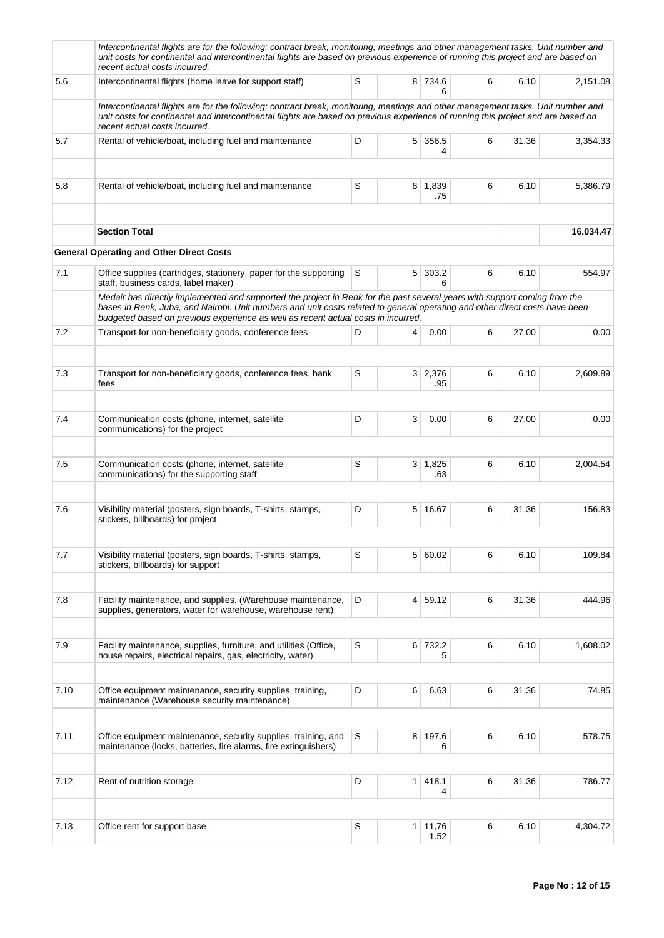|      | Intercontinental flights are for the following; contract break, monitoring, meetings and other management tasks. Unit number and<br>unit costs for continental and intercontinental flights are based on previous experience of running this project and are based on<br>recent actual costs incurred.                                        |   |   |                        |   |       |           |
|------|-----------------------------------------------------------------------------------------------------------------------------------------------------------------------------------------------------------------------------------------------------------------------------------------------------------------------------------------------|---|---|------------------------|---|-------|-----------|
| 5.6  | Intercontinental flights (home leave for support staff)                                                                                                                                                                                                                                                                                       | S |   | 8 734.6<br>6           | 6 | 6.10  | 2,151.08  |
|      | Intercontinental flights are for the following; contract break, monitoring, meetings and other management tasks. Unit number and<br>unit costs for continental and intercontinental flights are based on previous experience of running this project and are based on<br>recent actual costs incurred.                                        |   |   |                        |   |       |           |
| 5.7  | Rental of vehicle/boat, including fuel and maintenance                                                                                                                                                                                                                                                                                        | D |   | $5 \mid 356.5$<br>4    | 6 | 31.36 | 3,354.33  |
| 5.8  | Rental of vehicle/boat, including fuel and maintenance                                                                                                                                                                                                                                                                                        | S |   | 8 1,839<br>.75         | 6 | 6.10  | 5,386.79  |
|      | <b>Section Total</b>                                                                                                                                                                                                                                                                                                                          |   |   |                        |   |       | 16,034.47 |
|      | <b>General Operating and Other Direct Costs</b>                                                                                                                                                                                                                                                                                               |   |   |                        |   |       |           |
| 7.1  | Office supplies (cartridges, stationery, paper for the supporting<br>staff, business cards, label maker)                                                                                                                                                                                                                                      | S |   | 5 303.2<br>6           | 6 | 6.10  | 554.97    |
|      | Medair has directly implemented and supported the project in Renk for the past several years with support coming from the<br>bases in Renk, Juba, and Nairobi. Unit numbers and unit costs related to general operating and other direct costs have been<br>budgeted based on previous experience as well as recent actual costs in incurred. |   |   |                        |   |       |           |
| 7.2  | Transport for non-beneficiary goods, conference fees                                                                                                                                                                                                                                                                                          | D | 4 | 0.00                   | 6 | 27.00 | 0.00      |
|      |                                                                                                                                                                                                                                                                                                                                               |   |   |                        |   |       |           |
| 7.3  | Transport for non-beneficiary goods, conference fees, bank<br>fees                                                                                                                                                                                                                                                                            | S |   | 3 2,376<br>.95         | 6 | 6.10  | 2,609.89  |
| 7.4  | Communication costs (phone, internet, satellite                                                                                                                                                                                                                                                                                               | D | 3 | 0.00                   | 6 | 27.00 | 0.00      |
|      | communications) for the project                                                                                                                                                                                                                                                                                                               |   |   |                        |   |       |           |
| 7.5  | Communication costs (phone, internet, satellite<br>communications) for the supporting staff                                                                                                                                                                                                                                                   | S |   | $3 \mid 1,825$<br>.63  | 6 | 6.10  | 2,004.54  |
|      |                                                                                                                                                                                                                                                                                                                                               |   |   |                        |   |       |           |
| 7.6  | Visibility material (posters, sign boards, T-shirts, stamps,<br>stickers, billboards) for project                                                                                                                                                                                                                                             | D |   | 5 16.67                | 6 | 31.36 | 156.83    |
| 7.7  | Visibility material (posters, sign boards, T-shirts, stamps,                                                                                                                                                                                                                                                                                  | S |   | 5 60.02                | 6 | 6.10  | 109.84    |
|      | stickers, billboards) for support                                                                                                                                                                                                                                                                                                             |   |   |                        |   |       |           |
| 7.8  | Facility maintenance, and supplies. (Warehouse maintenance,<br>supplies, generators, water for warehouse, warehouse rent)                                                                                                                                                                                                                     | D |   | 4 59.12                | 6 | 31.36 | 444.96    |
|      |                                                                                                                                                                                                                                                                                                                                               |   |   |                        |   |       |           |
| 7.9  | Facility maintenance, supplies, furniture, and utilities (Office,<br>house repairs, electrical repairs, gas, electricity, water)                                                                                                                                                                                                              | S |   | 6 732.2<br>5           | 6 | 6.10  | 1,608.02  |
|      |                                                                                                                                                                                                                                                                                                                                               |   |   |                        |   |       |           |
| 7.10 | Office equipment maintenance, security supplies, training,<br>maintenance (Warehouse security maintenance)                                                                                                                                                                                                                                    | D | 6 | 6.63                   | 6 | 31.36 | 74.85     |
| 7.11 | Office equipment maintenance, security supplies, training, and                                                                                                                                                                                                                                                                                | S |   | 8 197.6                | 6 | 6.10  | 578.75    |
|      | maintenance (locks, batteries, fire alarms, fire extinguishers)                                                                                                                                                                                                                                                                               |   |   | 6                      |   |       |           |
| 7.12 | Rent of nutrition storage                                                                                                                                                                                                                                                                                                                     | D |   | $1 \mid 418.1$<br>4    | 6 | 31.36 | 786.77    |
|      |                                                                                                                                                                                                                                                                                                                                               |   |   |                        |   |       |           |
| 7.13 | Office rent for support base                                                                                                                                                                                                                                                                                                                  | S |   | $1 \mid 11,76$<br>1.52 | 6 | 6.10  | 4,304.72  |